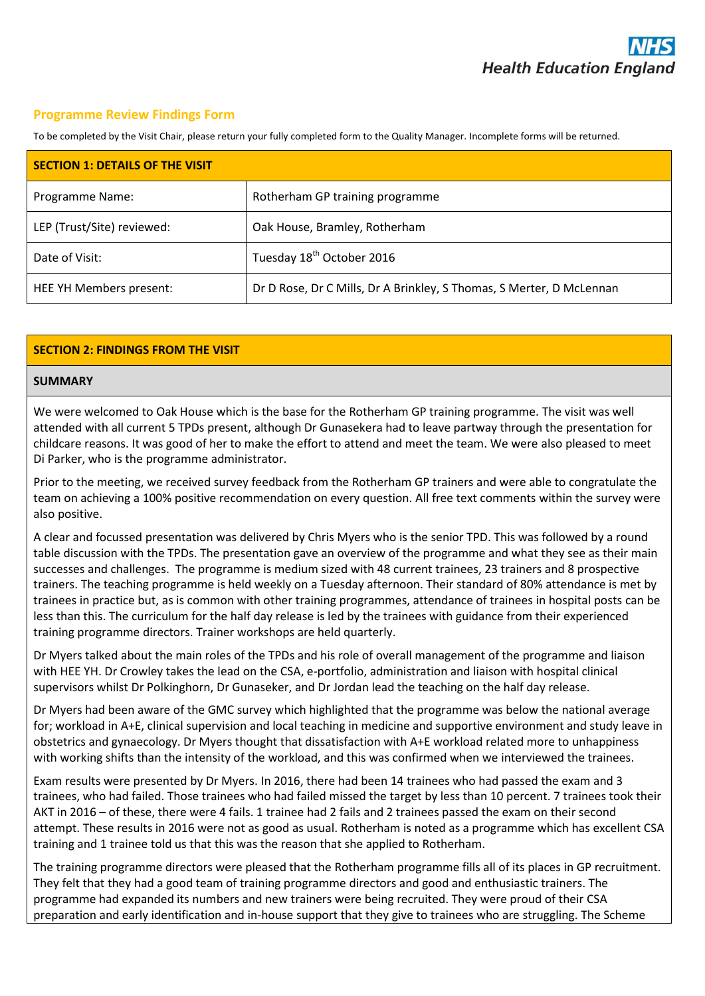### **Programme Review Findings Form**

To be completed by the Visit Chair, please return your fully completed form to the Quality Manager. Incomplete forms will be returned.

| <b>SECTION 1: DETAILS OF THE VISIT</b> |                                                                      |  |  |  |
|----------------------------------------|----------------------------------------------------------------------|--|--|--|
| Programme Name:                        | Rotherham GP training programme                                      |  |  |  |
| LEP (Trust/Site) reviewed:             | Oak House, Bramley, Rotherham                                        |  |  |  |
| Date of Visit:                         | Tuesday 18 <sup>th</sup> October 2016                                |  |  |  |
| HEE YH Members present:                | Dr D Rose, Dr C Mills, Dr A Brinkley, S Thomas, S Merter, D McLennan |  |  |  |

### **SECTION 2: FINDINGS FROM THE VISIT**

#### **SUMMARY**

We were welcomed to Oak House which is the base for the Rotherham GP training programme. The visit was well attended with all current 5 TPDs present, although Dr Gunasekera had to leave partway through the presentation for childcare reasons. It was good of her to make the effort to attend and meet the team. We were also pleased to meet Di Parker, who is the programme administrator.

Prior to the meeting, we received survey feedback from the Rotherham GP trainers and were able to congratulate the team on achieving a 100% positive recommendation on every question. All free text comments within the survey were also positive.

A clear and focussed presentation was delivered by Chris Myers who is the senior TPD. This was followed by a round table discussion with the TPDs. The presentation gave an overview of the programme and what they see as their main successes and challenges. The programme is medium sized with 48 current trainees, 23 trainers and 8 prospective trainers. The teaching programme is held weekly on a Tuesday afternoon. Their standard of 80% attendance is met by trainees in practice but, as is common with other training programmes, attendance of trainees in hospital posts can be less than this. The curriculum for the half day release is led by the trainees with guidance from their experienced training programme directors. Trainer workshops are held quarterly.

Dr Myers talked about the main roles of the TPDs and his role of overall management of the programme and liaison with HEE YH. Dr Crowley takes the lead on the CSA, e-portfolio, administration and liaison with hospital clinical supervisors whilst Dr Polkinghorn, Dr Gunaseker, and Dr Jordan lead the teaching on the half day release.

Dr Myers had been aware of the GMC survey which highlighted that the programme was below the national average for; workload in A+E, clinical supervision and local teaching in medicine and supportive environment and study leave in obstetrics and gynaecology. Dr Myers thought that dissatisfaction with A+E workload related more to unhappiness with working shifts than the intensity of the workload, and this was confirmed when we interviewed the trainees.

Exam results were presented by Dr Myers. In 2016, there had been 14 trainees who had passed the exam and 3 trainees, who had failed. Those trainees who had failed missed the target by less than 10 percent. 7 trainees took their AKT in 2016 – of these, there were 4 fails. 1 trainee had 2 fails and 2 trainees passed the exam on their second attempt. These results in 2016 were not as good as usual. Rotherham is noted as a programme which has excellent CSA training and 1 trainee told us that this was the reason that she applied to Rotherham.

The training programme directors were pleased that the Rotherham programme fills all of its places in GP recruitment. They felt that they had a good team of training programme directors and good and enthusiastic trainers. The programme had expanded its numbers and new trainers were being recruited. They were proud of their CSA preparation and early identification and in-house support that they give to trainees who are struggling. The Scheme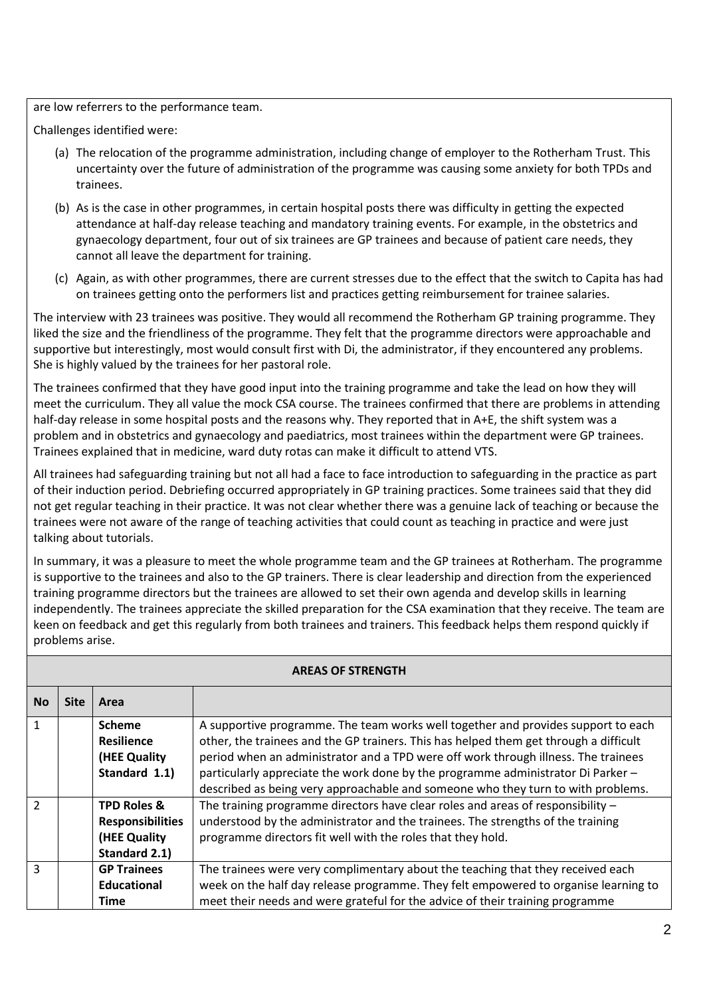are low referrers to the performance team.

Challenges identified were:

- (a) The relocation of the programme administration, including change of employer to the Rotherham Trust. This uncertainty over the future of administration of the programme was causing some anxiety for both TPDs and trainees.
- (b) As is the case in other programmes, in certain hospital posts there was difficulty in getting the expected attendance at half-day release teaching and mandatory training events. For example, in the obstetrics and gynaecology department, four out of six trainees are GP trainees and because of patient care needs, they cannot all leave the department for training.
- (c) Again, as with other programmes, there are current stresses due to the effect that the switch to Capita has had on trainees getting onto the performers list and practices getting reimbursement for trainee salaries.

The interview with 23 trainees was positive. They would all recommend the Rotherham GP training programme. They liked the size and the friendliness of the programme. They felt that the programme directors were approachable and supportive but interestingly, most would consult first with Di, the administrator, if they encountered any problems. She is highly valued by the trainees for her pastoral role.

The trainees confirmed that they have good input into the training programme and take the lead on how they will meet the curriculum. They all value the mock CSA course. The trainees confirmed that there are problems in attending half-day release in some hospital posts and the reasons why. They reported that in A+E, the shift system was a problem and in obstetrics and gynaecology and paediatrics, most trainees within the department were GP trainees. Trainees explained that in medicine, ward duty rotas can make it difficult to attend VTS.

All trainees had safeguarding training but not all had a face to face introduction to safeguarding in the practice as part of their induction period. Debriefing occurred appropriately in GP training practices. Some trainees said that they did not get regular teaching in their practice. It was not clear whether there was a genuine lack of teaching or because the trainees were not aware of the range of teaching activities that could count as teaching in practice and were just talking about tutorials.

In summary, it was a pleasure to meet the whole programme team and the GP trainees at Rotherham. The programme is supportive to the trainees and also to the GP trainers. There is clear leadership and direction from the experienced training programme directors but the trainees are allowed to set their own agenda and develop skills in learning independently. The trainees appreciate the skilled preparation for the CSA examination that they receive. The team are keen on feedback and get this regularly from both trainees and trainers. This feedback helps them respond quickly if problems arise.

| ANCAS UP SINCING IN |             |                                                                                    |                                                                                                                                                                                                                                                                                                                                                                                                                                          |  |
|---------------------|-------------|------------------------------------------------------------------------------------|------------------------------------------------------------------------------------------------------------------------------------------------------------------------------------------------------------------------------------------------------------------------------------------------------------------------------------------------------------------------------------------------------------------------------------------|--|
| <b>No</b>           | <b>Site</b> | Area                                                                               |                                                                                                                                                                                                                                                                                                                                                                                                                                          |  |
| $\overline{1}$      |             | <b>Scheme</b><br><b>Resilience</b><br>(HEE Quality<br>Standard 1.1)                | A supportive programme. The team works well together and provides support to each<br>other, the trainees and the GP trainers. This has helped them get through a difficult<br>period when an administrator and a TPD were off work through illness. The trainees<br>particularly appreciate the work done by the programme administrator Di Parker -<br>described as being very approachable and someone who they turn to with problems. |  |
| $\overline{2}$      |             | <b>TPD Roles &amp;</b><br><b>Responsibilities</b><br>(HEE Quality<br>Standard 2.1) | The training programme directors have clear roles and areas of responsibility $-$<br>understood by the administrator and the trainees. The strengths of the training<br>programme directors fit well with the roles that they hold.                                                                                                                                                                                                      |  |
| $\mathbf{3}$        |             | <b>GP Trainees</b><br>Educational<br><b>Time</b>                                   | The trainees were very complimentary about the teaching that they received each<br>week on the half day release programme. They felt empowered to organise learning to<br>meet their needs and were grateful for the advice of their training programme                                                                                                                                                                                  |  |

# **AREAS OF STRENGTH**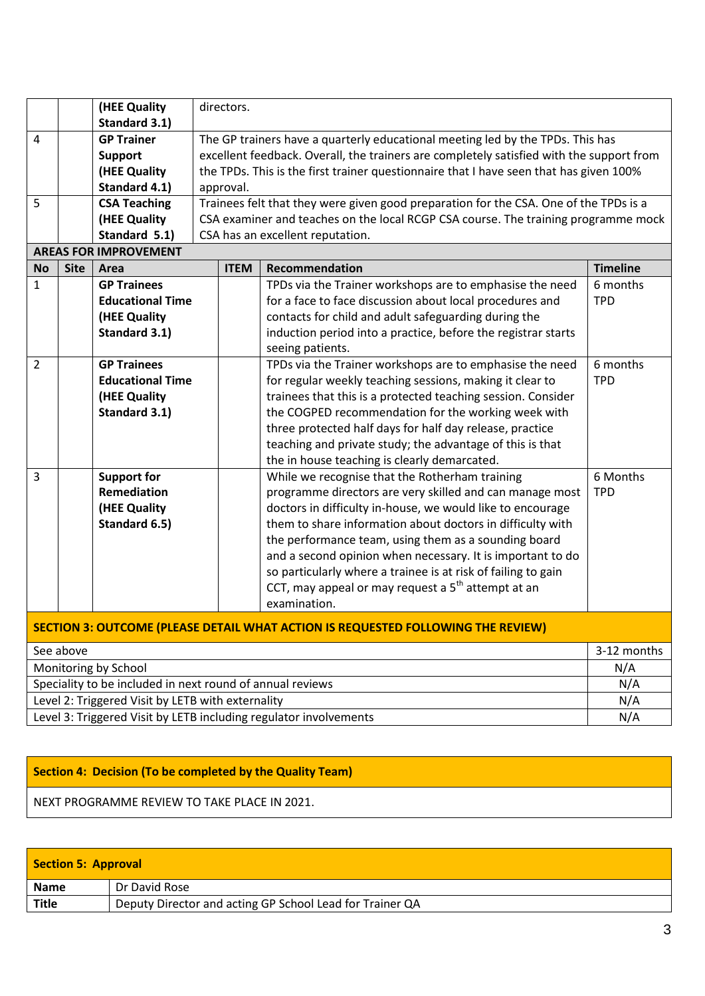|                |                                                                                         | (HEE Quality<br>Standard 3.1)                                                         | directors. |             |                                                                                                                                                                                                                                                                                                                                                                                                                                                                                                       |                        |
|----------------|-----------------------------------------------------------------------------------------|---------------------------------------------------------------------------------------|------------|-------------|-------------------------------------------------------------------------------------------------------------------------------------------------------------------------------------------------------------------------------------------------------------------------------------------------------------------------------------------------------------------------------------------------------------------------------------------------------------------------------------------------------|------------------------|
| 4              |                                                                                         | <b>GP Trainer</b><br><b>Support</b><br>(HEE Quality<br>Standard 4.1)                  | approval.  |             | The GP trainers have a quarterly educational meeting led by the TPDs. This has<br>excellent feedback. Overall, the trainers are completely satisfied with the support from<br>the TPDs. This is the first trainer questionnaire that I have seen that has given 100%                                                                                                                                                                                                                                  |                        |
| 5              |                                                                                         | <b>CSA Teaching</b><br>(HEE Quality<br>Standard 5.1)                                  |            |             | Trainees felt that they were given good preparation for the CSA. One of the TPDs is a<br>CSA examiner and teaches on the local RCGP CSA course. The training programme mock<br>CSA has an excellent reputation.                                                                                                                                                                                                                                                                                       |                        |
|                |                                                                                         | <b>AREAS FOR IMPROVEMENT</b>                                                          |            |             |                                                                                                                                                                                                                                                                                                                                                                                                                                                                                                       |                        |
| <b>No</b>      | <b>Site</b>                                                                             | Area                                                                                  |            | <b>ITEM</b> | Recommendation                                                                                                                                                                                                                                                                                                                                                                                                                                                                                        | <b>Timeline</b>        |
| $\mathbf{1}$   |                                                                                         | <b>GP Trainees</b><br><b>Educational Time</b><br>(HEE Quality<br>Standard 3.1)        |            |             | TPDs via the Trainer workshops are to emphasise the need<br>for a face to face discussion about local procedures and<br>contacts for child and adult safeguarding during the<br>induction period into a practice, before the registrar starts<br>seeing patients.                                                                                                                                                                                                                                     | 6 months<br><b>TPD</b> |
| $\overline{2}$ |                                                                                         | <b>GP Trainees</b><br><b>Educational Time</b><br>(HEE Quality<br><b>Standard 3.1)</b> |            |             | TPDs via the Trainer workshops are to emphasise the need<br>for regular weekly teaching sessions, making it clear to<br>trainees that this is a protected teaching session. Consider<br>the COGPED recommendation for the working week with<br>three protected half days for half day release, practice<br>teaching and private study; the advantage of this is that<br>the in house teaching is clearly demarcated.                                                                                  | 6 months<br><b>TPD</b> |
| 3              |                                                                                         | <b>Support for</b><br>Remediation<br>(HEE Quality<br>Standard 6.5)                    |            |             | While we recognise that the Rotherham training<br>programme directors are very skilled and can manage most<br>doctors in difficulty in-house, we would like to encourage<br>them to share information about doctors in difficulty with<br>the performance team, using them as a sounding board<br>and a second opinion when necessary. It is important to do<br>so particularly where a trainee is at risk of failing to gain<br>CCT, may appeal or may request a $5th$ attempt at an<br>examination. | 6 Months<br><b>TPD</b> |
|                | <b>SECTION 3: OUTCOME (PLEASE DETAIL WHAT ACTION IS REQUESTED FOLLOWING THE REVIEW)</b> |                                                                                       |            |             |                                                                                                                                                                                                                                                                                                                                                                                                                                                                                                       |                        |
|                | See above                                                                               |                                                                                       |            |             |                                                                                                                                                                                                                                                                                                                                                                                                                                                                                                       | 3-12 months            |
|                | Monitoring by School                                                                    |                                                                                       |            |             | N/A                                                                                                                                                                                                                                                                                                                                                                                                                                                                                                   |                        |
|                | Speciality to be included in next round of annual reviews<br>N/A                        |                                                                                       |            |             |                                                                                                                                                                                                                                                                                                                                                                                                                                                                                                       |                        |
|                | Level 2: Triggered Visit by LETB with externality<br>N/A                                |                                                                                       |            |             |                                                                                                                                                                                                                                                                                                                                                                                                                                                                                                       |                        |

Level 3: Triggered Visit by LETB including regulator involvements N/A

## **Section 4: Decision (To be completed by the Quality Team)**

NEXT PROGRAMME REVIEW TO TAKE PLACE IN 2021.

| Section 5: Approval |                                                          |  |  |  |
|---------------------|----------------------------------------------------------|--|--|--|
| <b>Name</b>         | Dr David Rose                                            |  |  |  |
| <b>Title</b>        | Deputy Director and acting GP School Lead for Trainer QA |  |  |  |